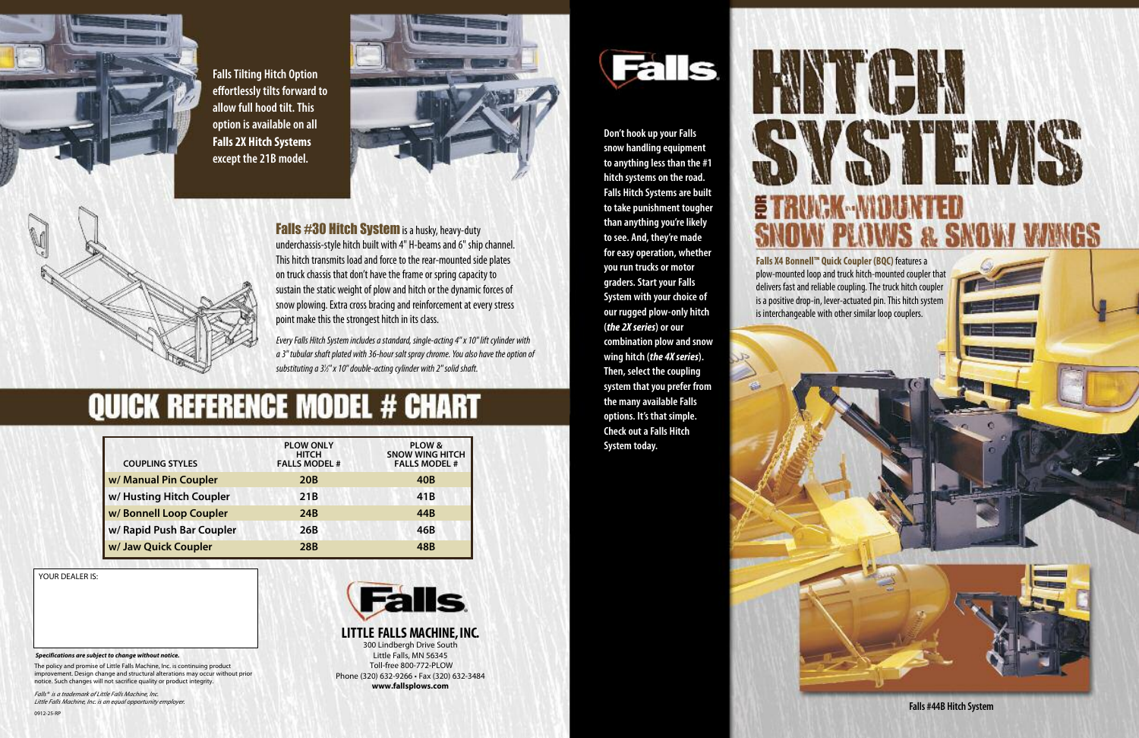**Don't hook up your Falls snow handling equipment to anything less than the #1 hitch systems on theroad. Falls Hitch Systemsare built to take punishment tougher than anything you'relikely to see. And, they're made foreasy operation, whether you run trucks or motor graders.StartyourFalls System with your choice of our rugged plow-only hitch (***the 2Xseries***) or our combination plow and snow wing hitch (***the 4Xseries***). Then, select the coupling system thatyou prefer from the manyavailableFalls options. It's that simple. Check out a Falls Hitch System today.**

**Falls X4 Bonnell™ Quick Coupler (BQC)** featuresa plow-mounted loop and truck hitch-mounted coupler that delivers fast and reliable coupling. The truck hitch coupler is a positive drop-in, lever-actuated pin. This hitch system is interchangeable with other similar loop couplers.







**Falls #44B Hitch System**



**FallsTilting Hitch Option effortlesslytilts forward to allow full hood tilt.This option isavailable on all Falls 2X Hitch Systems except the 21B model.**





**Falls #30 Hitch System** is a husky, heavy-duty underchassis-style hitch built with 4" H-beams and 6" ship channel. This hitch transmits load and force to the rear-mounted side plates on truck chassis that don't have the frame or spring capacity to sustain the static weight of plow and hitch or the dynamic forces of snow plowing. Extra cross bracing and reinforcement at every stress point make this the strongest hitch in its class.

*EveryFalls HitchSystem includesastandard, single-acting4" x10" lift cylinder with a3" tubular shaftplated with36-hour salt spraychrome.Youalsohavetheoptionof substitutinga31 ⁄2" x10"double-actingcylinder with2" solidshaft.*

## **QUICK REFERENCE MODEL # CHART**

| <b>COUPLING STYLES</b>    | <b>PLOW ONLY</b><br><b>HITCH</b><br><b>FALLS MODEL #</b> | PLOW &<br><b>SNOW WING HITCH</b><br><b>FALLS MODEL #</b> |
|---------------------------|----------------------------------------------------------|----------------------------------------------------------|
| w/ Manual Pin Coupler     | <b>20B</b>                                               | 40B                                                      |
| w/Husting Hitch Coupler   | 21B                                                      | 41B                                                      |
| w/ Bonnell Loop Coupler   | 24B                                                      | 44B                                                      |
| w/ Rapid Push Bar Coupler | 26B                                                      | 46B                                                      |
| w/ Jaw Quick Coupler      | 28 <sub>B</sub>                                          | 48 <sub>B</sub>                                          |

YOUR DEALER IS:

*Falls® is <sup>a</sup> trademark of Little Falls Machine, Inc. Little Falls Machine, Inc. is an equal opportunity employer.*

The policy and promise of Little Falls Machine, Inc. is continuing product improvement. Design change and structural alterations may occur without prior notice. Such changes will not sacrifice quality or product integrity.

*Specifications are subject to change without notice.*

**LITTLE FALLS MACHINE,INC.** 300 Lindbergh Drive South Little Falls, MN 56345 Toll-free 800-772-PLOW Phone (320) 632-9266 • Fax (320) 632-3484 **www.fallsplows.com**